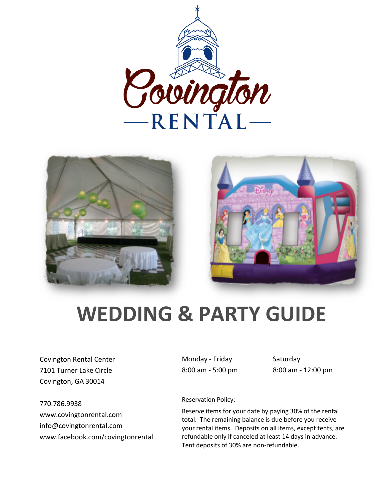





## **WEDDING & PARTY GUIDE**

Covington Rental Center 7101 Turner Lake Circle Covington, GA 30014

770.786.9938 www.covingtonrental.com info@covingtonrental.com www.facebook.com/covingtonrental Monday - Friday Saturday 8:00 am - 5:00 pm 8:00 am - 12:00 pm

Reservation Policy:

Reserve items for your date by paying 30% of the rental total. The remaining balance is due before you receive your rental items. Deposits on all items, except tents, are refundable only if canceled at least 14 days in advance. Tent deposits of 30% are non-refundable.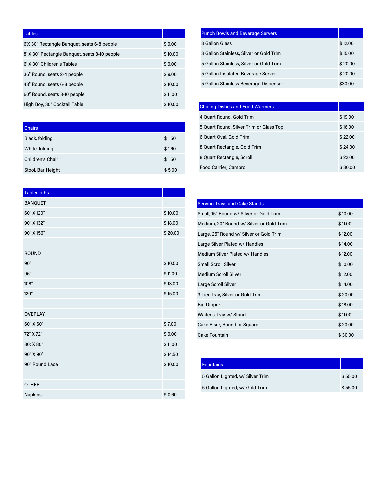| <b>Tables</b>                                 |         |
|-----------------------------------------------|---------|
| 6'X 30" Rectangle Banquet, seats 6-8 people   | \$9.00  |
| 8' X 30" Rectangle Banguet, seats 8-10 people | \$10,00 |
| 6' X 30" Children's Tables                    | \$9.00  |
| 36" Round, seats 2-4 people                   | \$9.00  |
| 48" Round, seats 6-8 people                   | \$10,00 |
| 60" Round, seats 8-10 people                  | \$11.00 |
| High Boy, 30" Cocktail Table                  | \$10.00 |

| <b>Chairs</b>     |        |
|-------------------|--------|
| Black, folding    | \$1.50 |
| White, folding    | \$1.60 |
| Children's Chair  | \$1.50 |
| Stool, Bar Height | \$5.00 |

| <b>Tablecloths</b> |         |
|--------------------|---------|
| <b>BANQUET</b>     |         |
| 60" X 120"         | \$10.00 |
| 90" X 132"         | \$18.00 |
| 90" X 156"         | \$20.00 |
|                    |         |
| <b>ROUND</b>       |         |
| 90"                | \$10.50 |
| 96"                | \$11.00 |
| 108''              | \$13.00 |
| 120''              | \$15.00 |
|                    |         |
| <b>OVERLAY</b>     |         |
| 60" X 60"          | \$7.00  |
| 72" X 72"          | \$9.00  |
| 80: X 80"          | \$11.00 |
| 90" X 90"          | \$14.50 |
| 90" Round Lace     | \$10.00 |
|                    |         |
| <b>OTHER</b>       |         |
| Napkins            | \$0.60  |

| <b>Punch Bowls and Beverage Servers</b> |         |
|-----------------------------------------|---------|
| 3 Gallon Glass                          | \$12.00 |
| 3 Gallon Stainless, Silver or Gold Trim | \$15.00 |
| 5 Gallon Stainless, Silver or Gold Trim | \$20.00 |
| 5 Gallon Insulated Beverage Server      | \$20.00 |
| 5 Gallon Stainless Beverage Dispenser   | \$30.00 |

| <b>Chafing Dishes and Food Warmers</b>  |         |
|-----------------------------------------|---------|
| 4 Quart Round, Gold Trim                | \$19.00 |
| 5 Quart Round, Silver Trim or Glass Top | \$16.00 |
| 6 Quart Oval, Gold Trim                 | \$22.00 |
| 8 Quart Rectangle, Gold Trim            | \$24.00 |
| 8 Quart Rectangle, Scroll               | \$22.00 |
| Food Carrier, Cambro                    | \$30.00 |

| <b>Serving Trays and Cake Stands</b>     |         |
|------------------------------------------|---------|
| Small, 15" Round w/ Silver or Gold Trim  | \$10.00 |
| Medium, 20" Round w/ Silver or Gold Trim | \$11.00 |
| Large, 25" Round w/ Silver or Gold Trim  | \$12.00 |
| Large Silver Plated w/ Handles           | \$14.00 |
| Medium Silver Plated w/ Handles          | \$12.00 |
| <b>Small Scroll Silver</b>               | \$10.00 |
| <b>Medium Scroll Silver</b>              | \$12.00 |
| Large Scroll Silver                      | \$14.00 |
| 3 Tier Tray, Silver or Gold Trim         | \$20.00 |
| <b>Big Dipper</b>                        | \$18.00 |
| Waiter's Tray w/ Stand                   | \$11.00 |
| Cake Riser, Round or Square              | \$20.00 |
| Cake Fountain                            | \$30.00 |

| <b>Fountains</b>                 |         |
|----------------------------------|---------|
| 5 Gallon Lighted, w/ Silver Trim | \$55.00 |
| 5 Gallon Lighted, w/ Gold Trim   | \$55.00 |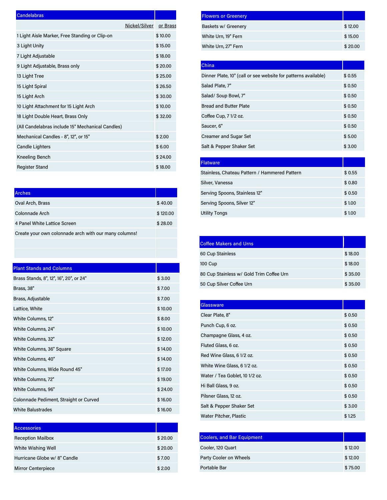| Candelabras                                      |               |          |
|--------------------------------------------------|---------------|----------|
|                                                  | Nickel/Silver | or Brass |
| 1 Light Aisle Marker, Free Standing or Clip-on   |               | \$10.00  |
| 3 Light Unity                                    |               | \$15.00  |
| 7 Light Adjustable                               |               | \$18.00  |
| 9 Light Adjustable, Brass only                   |               | \$20.00  |
| 13 Light Tree                                    |               | \$25.00  |
| 15 Light Spiral                                  |               | \$26.50  |
| 15 Light Arch                                    |               | \$30.00  |
| 10 Light Attachment for 15 Light Arch            |               | \$10.00  |
| 18 Light Double Heart, Brass Only                |               | \$32.00  |
| (All Candelabras include 15" Mechanical Candles) |               |          |
| Mechanical Candles - 8", 12", or 15"             |               | \$2.00   |
| <b>Candle Lighters</b>                           |               | \$6.00   |
| Kneeling Bench                                   |               | \$24.00  |
| <b>Register Stand</b>                            |               | \$18.00  |

| <b>Arches</b>                                         |          |
|-------------------------------------------------------|----------|
| Oval Arch, Brass                                      | \$40.00  |
| Colonnade Arch                                        | \$120.00 |
| 4 Panel White Lattice Screen                          | \$28.00  |
| Create your own colonnade arch with our many columns! |          |
|                                                       |          |

| <b>Plant Stands and Columns</b>         |         |
|-----------------------------------------|---------|
| Brass Stands, 8", 12", 16", 20", or 24" | \$3.00  |
| Brass, 38"                              | \$7.00  |
| Brass, Adjustable                       | \$7.00  |
| Lattice, White                          | \$10.00 |
| White Columns, 12"                      | \$8.00  |
| White Columns, 24"                      | \$10.00 |
| White Columns, 32"                      | \$12.00 |
| White Columns, 36" Square               | \$14.00 |
| White Columns, 40"                      | \$14.00 |
| White Columns, Wide Round 45"           | \$17.00 |
| White Columns, 72"                      | \$19.00 |
| White Columns, 96"                      | \$24.00 |
| Colonnade Pediment, Straight or Curved  | \$16.00 |
| <b>White Balustrades</b>                | \$16.00 |

| <b>Accessories</b>           |         |
|------------------------------|---------|
| <b>Reception Mailbox</b>     | \$20.00 |
| White Wishing Well           | \$20.00 |
| Hurricane Globe w/ 8" Candle | \$7.00  |
| <b>Mirror Centerpiece</b>    | \$2.00  |

| <b>Flowers or Greenery</b> |         |
|----------------------------|---------|
| Baskets w/ Greenery        | \$12.00 |
| White Urn, 19" Fern        | \$15.00 |
| White Urn, 27" Fern        | \$20.00 |

| China                                                          |        |
|----------------------------------------------------------------|--------|
| Dinner Plate, 10" (call or see website for patterns available) | \$0.55 |
| Salad Plate, 7"                                                | \$0.50 |
| Salad/ Soup Bowl, 7"                                           | \$0.50 |
| <b>Bread and Butter Plate</b>                                  | \$0.50 |
| Coffee Cup, 7 1/2 oz.                                          | \$0.50 |
| Saucer, 6"                                                     | \$0.50 |
| <b>Creamer and Sugar Set</b>                                   | \$5.00 |
| Salt & Pepper Shaker Set                                       | \$3.00 |

| Flatware,                                     |        |
|-----------------------------------------------|--------|
| Stainless, Chateau Pattern / Hammered Pattern | \$0.55 |
| Silver, Vanessa                               | \$0.80 |
| Serving Spoons, Stainless 12"                 | \$0.50 |
| Serving Spoons, Silver 12"                    | \$1.00 |
| <b>Utility Tongs</b>                          | \$1.00 |

| <b>Coffee Makers and Urns</b>            |         |
|------------------------------------------|---------|
| 60 Cup Stainless                         | \$18.00 |
| 100 Cup                                  | \$18.00 |
| 80 Cup Stainless w/ Gold Trim Coffee Urn | \$35.00 |
| 50 Cup Silver Coffee Urn                 | \$35.00 |

| Glassware                      |        |
|--------------------------------|--------|
| Clear Plate, 8"                | \$0.50 |
| Punch Cup, 6 oz.               | \$0.50 |
| Champagne Glass, 4 oz.         | \$0.50 |
| Fluted Glass, 6 oz.            | \$0.50 |
| Red Wine Glass, 6 1/2 oz.      | \$0.50 |
| White Wine Glass, 61/2 oz.     | \$0.50 |
| Water / Tea Goblet, 10 1/2 oz. | \$0.50 |
| Hi Ball Glass, 9 oz.           | \$0.50 |
| Pilsner Glass, 12 oz.          | \$0.50 |
| Salt & Pepper Shaker Set       | \$3.00 |
| Water Pitcher, Plastic         | \$1.25 |

| <b>Coolers, and Bar Equipment</b> |         |
|-----------------------------------|---------|
| Cooler, 120 Quart                 | \$12.00 |
| Party Cooler on Wheels            | \$12.00 |
| Portable Bar                      | \$75.00 |